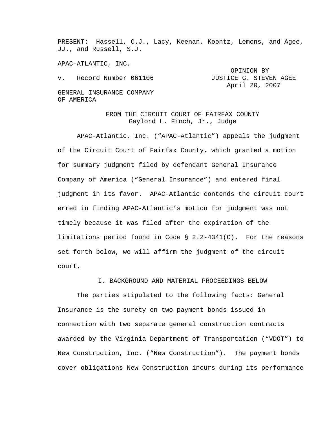PRESENT: Hassell, C.J., Lacy, Keenan, Koontz, Lemons, and Agee, JJ., and Russell, S.J.

APAC-ATLANTIC, INC.

OPINION BY v. Record Number 061106 JUSTICE G. STEVEN AGEE April 20, 2007 GENERAL INSURANCE COMPANY OF AMERICA

> FROM THE CIRCUIT COURT OF FAIRFAX COUNTY Gaylord L. Finch, Jr., Judge

APAC-Atlantic, Inc. ("APAC-Atlantic") appeals the judgment of the Circuit Court of Fairfax County, which granted a motion for summary judgment filed by defendant General Insurance Company of America ("General Insurance") and entered final judgment in its favor. APAC-Atlantic contends the circuit court erred in finding APAC-Atlantic's motion for judgment was not timely because it was filed after the expiration of the limitations period found in Code § 2.2-4341(C). For the reasons set forth below, we will affirm the judgment of the circuit court.

I. BACKGROUND AND MATERIAL PROCEEDINGS BELOW

The parties stipulated to the following facts: General Insurance is the surety on two payment bonds issued in connection with two separate general construction contracts awarded by the Virginia Department of Transportation ("VDOT") to New Construction, Inc. ("New Construction"). The payment bonds cover obligations New Construction incurs during its performance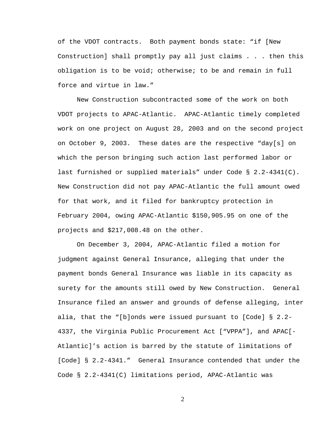of the VDOT contracts. Both payment bonds state: "if [New Construction] shall promptly pay all just claims . . . then this obligation is to be void; otherwise; to be and remain in full force and virtue in law."

New Construction subcontracted some of the work on both VDOT projects to APAC-Atlantic. APAC-Atlantic timely completed work on one project on August 28, 2003 and on the second project on October 9, 2003. These dates are the respective "day[s] on which the person bringing such action last performed labor or last furnished or supplied materials" under Code § 2.2-4341(C). New Construction did not pay APAC-Atlantic the full amount owed for that work, and it filed for bankruptcy protection in February 2004, owing APAC-Atlantic \$150,905.95 on one of the projects and \$217,008.48 on the other.

On December 3, 2004, APAC-Atlantic filed a motion for judgment against General Insurance, alleging that under the payment bonds General Insurance was liable in its capacity as surety for the amounts still owed by New Construction. General Insurance filed an answer and grounds of defense alleging, inter alia, that the "[b]onds were issued pursuant to [Code] § 2.2- 4337, the Virginia Public Procurement Act ["VPPA"], and APAC[- Atlantic]'s action is barred by the statute of limitations of [Code] § 2.2-4341." General Insurance contended that under the Code § 2.2-4341(C) limitations period, APAC-Atlantic was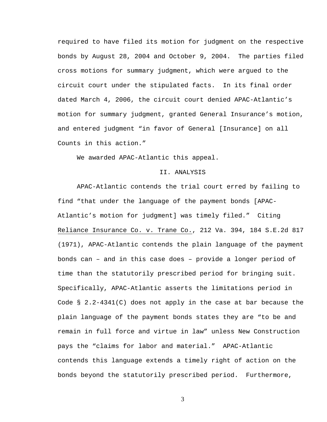required to have filed its motion for judgment on the respective bonds by August 28, 2004 and October 9, 2004. The parties filed cross motions for summary judgment, which were argued to the circuit court under the stipulated facts. In its final order dated March 4, 2006, the circuit court denied APAC-Atlantic's motion for summary judgment, granted General Insurance's motion, and entered judgment "in favor of General [Insurance] on all Counts in this action."

We awarded APAC-Atlantic this appeal.

## II. ANALYSIS

 APAC-Atlantic contends the trial court erred by failing to find "that under the language of the payment bonds [APAC-Atlantic's motion for judgment] was timely filed." Citing Reliance Insurance Co. v. Trane Co., 212 Va. 394, 184 S.E.2d 817 (1971), APAC-Atlantic contends the plain language of the payment bonds can – and in this case does – provide a longer period of time than the statutorily prescribed period for bringing suit. Specifically, APAC-Atlantic asserts the limitations period in Code  $\S$  2.2-4341(C) does not apply in the case at bar because the plain language of the payment bonds states they are "to be and remain in full force and virtue in law" unless New Construction pays the "claims for labor and material." APAC-Atlantic contends this language extends a timely right of action on the bonds beyond the statutorily prescribed period. Furthermore,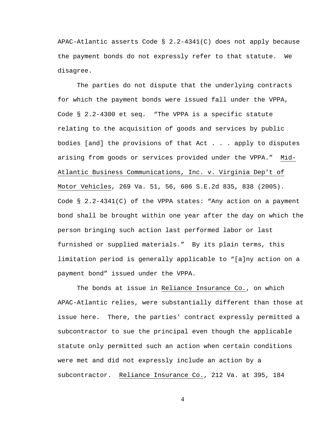APAC-Atlantic asserts Code  $\S$  2.2-4341(C) does not apply because the payment bonds do not expressly refer to that statute. We disagree.

The parties do not dispute that the underlying contracts for which the payment bonds were issued fall under the VPPA, Code § 2.2-4300 et seq. "The VPPA is a specific statute relating to the acquisition of goods and services by public bodies [and] the provisions of that Act . . . apply to disputes arising from goods or services provided under the VPPA." Mid-Atlantic Business Communications, Inc. v. Virginia Dep't of Motor Vehicles, 269 Va. 51, 56, 606 S.E.2d 835, 838 (2005). Code § 2.2-4341(C) of the VPPA states: "Any action on a payment bond shall be brought within one year after the day on which the person bringing such action last performed labor or last furnished or supplied materials." By its plain terms, this limitation period is generally applicable to "[a]ny action on a payment bond" issued under the VPPA.

 The bonds at issue in Reliance Insurance Co., on which APAC-Atlantic relies, were substantially different than those at issue here. There, the parties' contract expressly permitted a subcontractor to sue the principal even though the applicable statute only permitted such an action when certain conditions were met and did not expressly include an action by a subcontractor. Reliance Insurance Co., 212 Va. at 395, 184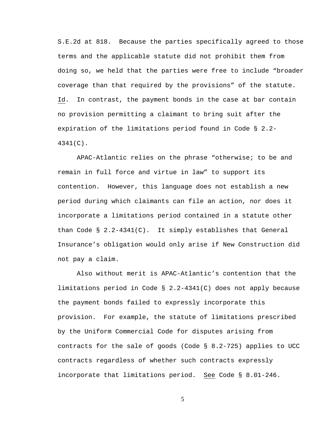S.E.2d at 818. Because the parties specifically agreed to those terms and the applicable statute did not prohibit them from doing so, we held that the parties were free to include "broader coverage than that required by the provisions" of the statute. Id. In contrast, the payment bonds in the case at bar contain no provision permitting a claimant to bring suit after the expiration of the limitations period found in Code § 2.2- 4341(C).

APAC-Atlantic relies on the phrase "otherwise; to be and remain in full force and virtue in law" to support its contention. However, this language does not establish a new period during which claimants can file an action, nor does it incorporate a limitations period contained in a statute other than Code  $\S$  2.2-4341(C). It simply establishes that General Insurance's obligation would only arise if New Construction did not pay a claim.

Also without merit is APAC-Atlantic's contention that the limitations period in Code § 2.2-4341(C) does not apply because the payment bonds failed to expressly incorporate this provision. For example, the statute of limitations prescribed by the Uniform Commercial Code for disputes arising from contracts for the sale of goods (Code § 8.2-725) applies to UCC contracts regardless of whether such contracts expressly incorporate that limitations period. See Code § 8.01-246.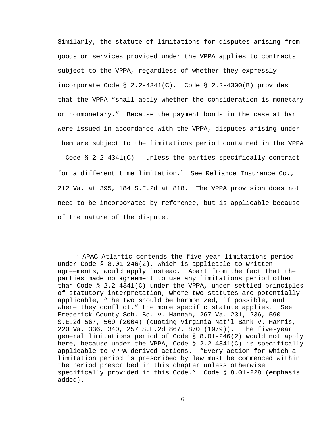Similarly, the statute of limitations for disputes arising from goods or services provided under the VPPA applies to contracts subject to the VPPA, regardless of whether they expressly incorporate Code  $\S$  2.2-4341(C). Code  $\S$  2.2-4300(B) provides that the VPPA "shall apply whether the consideration is monetary or nonmonetary." Because the payment bonds in the case at bar were issued in accordance with the VPPA, disputes arising under them are subject to the limitations period contained in the VPPA – Code § 2.2-4341(C) – unless the parties specifically contract for a different time limitation.<sup>∗</sup> See Reliance Insurance Co., 212 Va. at 395, 184 S.E.2d at 818. The VPPA provision does not need to be incorporated by reference, but is applicable because of the nature of the dispute.

 $\overline{a}$ 

<sup>∗</sup> APAC-Atlantic contends the five-year limitations period under Code § 8.01-246(2), which is applicable to written agreements, would apply instead. Apart from the fact that the parties made no agreement to use any limitations period other than Code § 2.2-4341(C) under the VPPA, under settled principles of statutory interpretation, where two statutes are potentially applicable, "the two should be harmonized, if possible, and where they conflict," the more specific statute applies. See Frederick County Sch. Bd. v. Hannah, 267 Va. 231, 236, 590 S.E.2d 567, 569 (2004) (quoting Virginia Nat'l Bank v. Harris, 220 Va. 336, 340, 257 S.E.2d 867, 870 (1979)). The five-year general limitations period of Code § 8.01-246(2) would not apply here, because under the VPPA, Code § 2.2-4341(C) is specifically applicable to VPPA-derived actions. "Every action for which a limitation period is prescribed by law must be commenced within the period prescribed in this chapter unless otherwise specifically provided in this Code." Code § 8.01-228 (emphasis added).